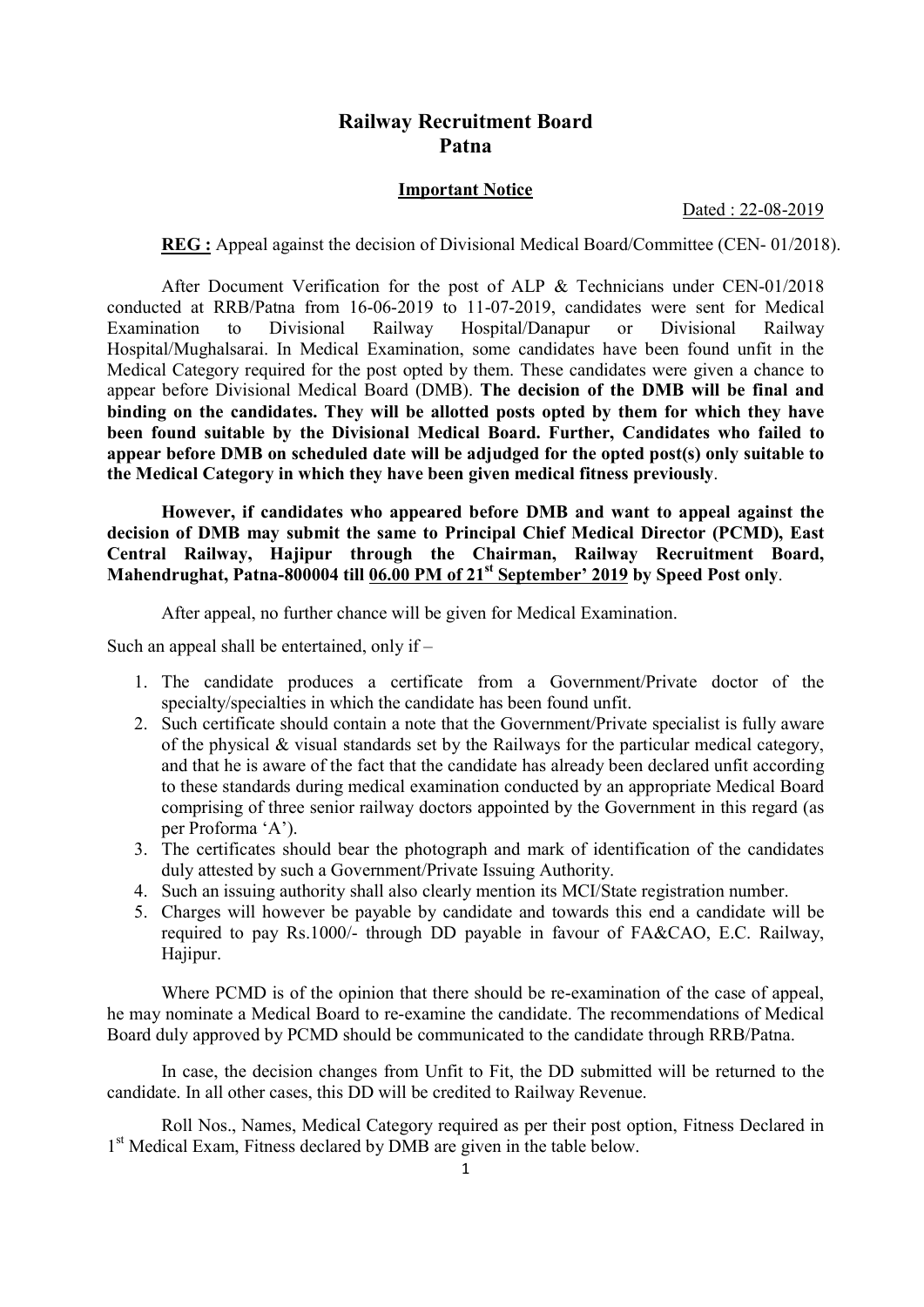# Railway Recruitment Board Patna

#### Important Notice

Dated : 22-08-2019

REG : Appeal against the decision of Divisional Medical Board/Committee (CEN- 01/2018).

 After Document Verification for the post of ALP & Technicians under CEN-01/2018 conducted at RRB/Patna from 16-06-2019 to 11-07-2019, candidates were sent for Medical Examination to Divisional Railway Hospital/Danapur or Divisional Railway Hospital/Mughalsarai. In Medical Examination, some candidates have been found unfit in the Medical Category required for the post opted by them. These candidates were given a chance to appear before Divisional Medical Board (DMB). The decision of the DMB will be final and binding on the candidates. They will be allotted posts opted by them for which they have been found suitable by the Divisional Medical Board. Further, Candidates who failed to appear before DMB on scheduled date will be adjudged for the opted post(s) only suitable to the Medical Category in which they have been given medical fitness previously.

However, if candidates who appeared before DMB and want to appeal against the decision of DMB may submit the same to Principal Chief Medical Director (PCMD), East Central Railway, Hajipur through the Chairman, Railway Recruitment Board, Mahendrughat, Patna-800004 till 06.00 PM of 21<sup>st</sup> September' 2019 by Speed Post only.

After appeal, no further chance will be given for Medical Examination.

Such an appeal shall be entertained, only if –

- 1. The candidate produces a certificate from a Government/Private doctor of the specialty/specialties in which the candidate has been found unfit.
- 2. Such certificate should contain a note that the Government/Private specialist is fully aware of the physical & visual standards set by the Railways for the particular medical category, and that he is aware of the fact that the candidate has already been declared unfit according to these standards during medical examination conducted by an appropriate Medical Board comprising of three senior railway doctors appointed by the Government in this regard (as per Proforma 'A').
- 3. The certificates should bear the photograph and mark of identification of the candidates duly attested by such a Government/Private Issuing Authority.
- 4. Such an issuing authority shall also clearly mention its MCI/State registration number.
- 5. Charges will however be payable by candidate and towards this end a candidate will be required to pay Rs.1000/- through DD payable in favour of FA&CAO, E.C. Railway, Hajipur.

 Where PCMD is of the opinion that there should be re-examination of the case of appeal, he may nominate a Medical Board to re-examine the candidate. The recommendations of Medical Board duly approved by PCMD should be communicated to the candidate through RRB/Patna.

 In case, the decision changes from Unfit to Fit, the DD submitted will be returned to the candidate. In all other cases, this DD will be credited to Railway Revenue.

 Roll Nos., Names, Medical Category required as per their post option, Fitness Declared in 1<sup>st</sup> Medical Exam, Fitness declared by DMB are given in the table below.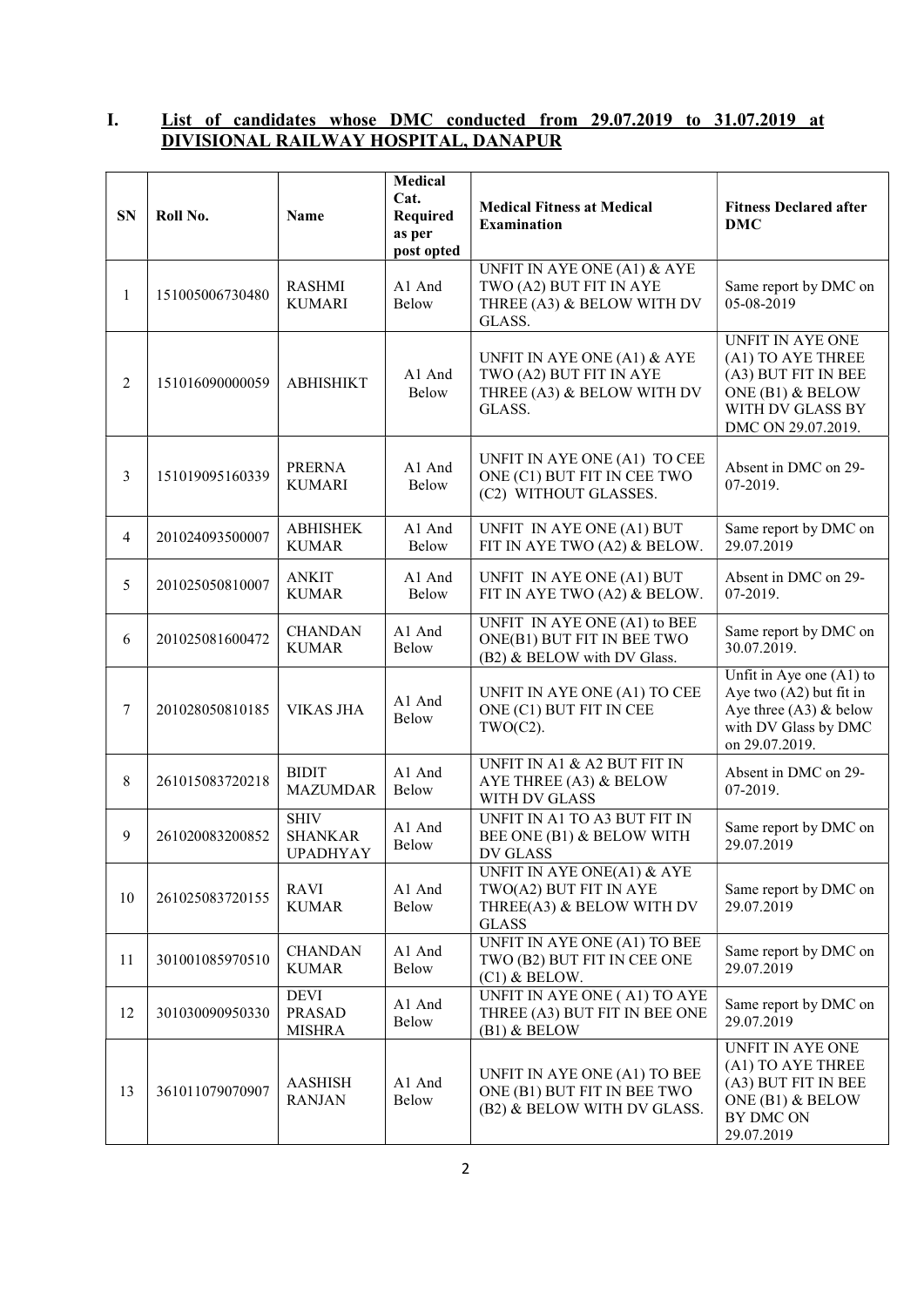## I. List of candidates whose DMC conducted from 29.07.2019 to 31.07.2019 at DIVISIONAL RAILWAY HOSPITAL, DANAPUR

| <b>SN</b> | Roll No.        | Name                                             | Medical<br>Cat.<br>Required<br>as per<br>post opted | <b>Medical Fitness at Medical</b><br><b>Examination</b>                                           | <b>Fitness Declared after</b><br><b>DMC</b>                                                                                       |  |
|-----------|-----------------|--------------------------------------------------|-----------------------------------------------------|---------------------------------------------------------------------------------------------------|-----------------------------------------------------------------------------------------------------------------------------------|--|
| 1         | 151005006730480 | <b>RASHMI</b><br><b>KUMARI</b>                   | A1 And<br>Below                                     | UNFIT IN AYE ONE (A1) & AYE<br>TWO (A2) BUT FIT IN AYE<br>THREE (A3) & BELOW WITH DV<br>GLASS.    | Same report by DMC on<br>05-08-2019                                                                                               |  |
| 2         | 151016090000059 | <b>ABHISHIKT</b>                                 | A1 And<br>Below                                     | UNFIT IN AYE ONE (A1) & AYE<br>TWO (A2) BUT FIT IN AYE<br>THREE (A3) & BELOW WITH DV<br>GLASS.    | <b>UNFIT IN AYE ONE</b><br>(A1) TO AYE THREE<br>(A3) BUT FIT IN BEE<br>ONE (B1) & BELOW<br>WITH DV GLASS BY<br>DMC ON 29.07.2019. |  |
| 3         | 151019095160339 | <b>PRERNA</b><br><b>KUMARI</b>                   | A1 And<br>Below                                     | UNFIT IN AYE ONE (A1) TO CEE<br>ONE (C1) BUT FIT IN CEE TWO<br>(C2) WITHOUT GLASSES.              | Absent in DMC on 29-<br>07-2019.                                                                                                  |  |
| 4         | 201024093500007 | <b>ABHISHEK</b><br><b>KUMAR</b>                  | A1 And<br>Below                                     | UNFIT IN AYE ONE (A1) BUT<br>FIT IN AYE TWO (A2) & BELOW.                                         | Same report by DMC on<br>29.07.2019                                                                                               |  |
| 5         | 201025050810007 | <b>ANKIT</b><br><b>KUMAR</b>                     | A1 And<br>Below                                     | UNFIT IN AYE ONE (A1) BUT<br>FIT IN AYE TWO (A2) & BELOW.                                         | Absent in DMC on 29-<br>07-2019.                                                                                                  |  |
| 6         | 201025081600472 | <b>CHANDAN</b><br><b>KUMAR</b>                   | A1 And<br>Below                                     | UNFIT IN AYE ONE (A1) to BEE<br>ONE(B1) BUT FIT IN BEE TWO<br>(B2) & BELOW with DV Glass.         | Same report by DMC on<br>30.07.2019.                                                                                              |  |
| 7         | 201028050810185 | <b>VIKAS JHA</b>                                 | A1 And<br>Below                                     | UNFIT IN AYE ONE (A1) TO CEE<br>ONE (C1) BUT FIT IN CEE<br>$TWO(C2)$ .                            | Unfit in Aye one $(A1)$ to<br>Aye two $(A2)$ but fit in<br>Aye three $(A3)$ & below<br>with DV Glass by DMC<br>on 29.07.2019.     |  |
| 8         | 261015083720218 | <b>BIDIT</b><br><b>MAZUMDAR</b>                  | A1 And<br>Below                                     | UNFIT IN A1 & A2 BUT FIT IN<br>AYE THREE (A3) & BELOW<br>WITH DV GLASS                            | Absent in DMC on 29-<br>07-2019.                                                                                                  |  |
| 9         | 261020083200852 | <b>SHIV</b><br><b>SHANKAR</b><br><b>UPADHYAY</b> | A1 And<br>Below                                     | UNFIT IN A1 TO A3 BUT FIT IN<br>BEE ONE (B1) & BELOW WITH<br>DV GLASS                             | Same report by DMC on<br>29.07.2019                                                                                               |  |
| 10        | 261025083720155 | <b>RAVI</b><br><b>KUMAR</b>                      | A1 And<br><b>Below</b>                              | UNFIT IN AYE ONE(A1) & AYE<br>TWO(A2) BUT FIT IN AYE<br>THREE(A3) & BELOW WITH DV<br><b>GLASS</b> | Same report by DMC on<br>29.07.2019                                                                                               |  |
| 11        | 301001085970510 | <b>CHANDAN</b><br><b>KUMAR</b>                   | A1 And<br>Below                                     | UNFIT IN AYE ONE (A1) TO BEE<br>TWO (B2) BUT FIT IN CEE ONE<br>$(C1)$ & BELOW.                    | Same report by DMC on<br>29.07.2019                                                                                               |  |
| 12        | 301030090950330 | <b>DEVI</b><br><b>PRASAD</b><br><b>MISHRA</b>    | A1 And<br>Below                                     | <b>UNFIT IN AYE ONE (A1) TO AYE</b><br>THREE (A3) BUT FIT IN BEE ONE<br>$(B1)$ & BELOW            | Same report by DMC on<br>29.07.2019                                                                                               |  |
| 13        | 361011079070907 | <b>AASHISH</b><br><b>RANJAN</b>                  | A1 And<br>Below                                     | UNFIT IN AYE ONE (A1) TO BEE<br>ONE (B1) BUT FIT IN BEE TWO<br>(B2) & BELOW WITH DV GLASS.        | UNFIT IN AYE ONE<br>(A1) TO AYE THREE<br>(A3) BUT FIT IN BEE<br>ONE (B1) & BELOW<br>BY DMC ON<br>29.07.2019                       |  |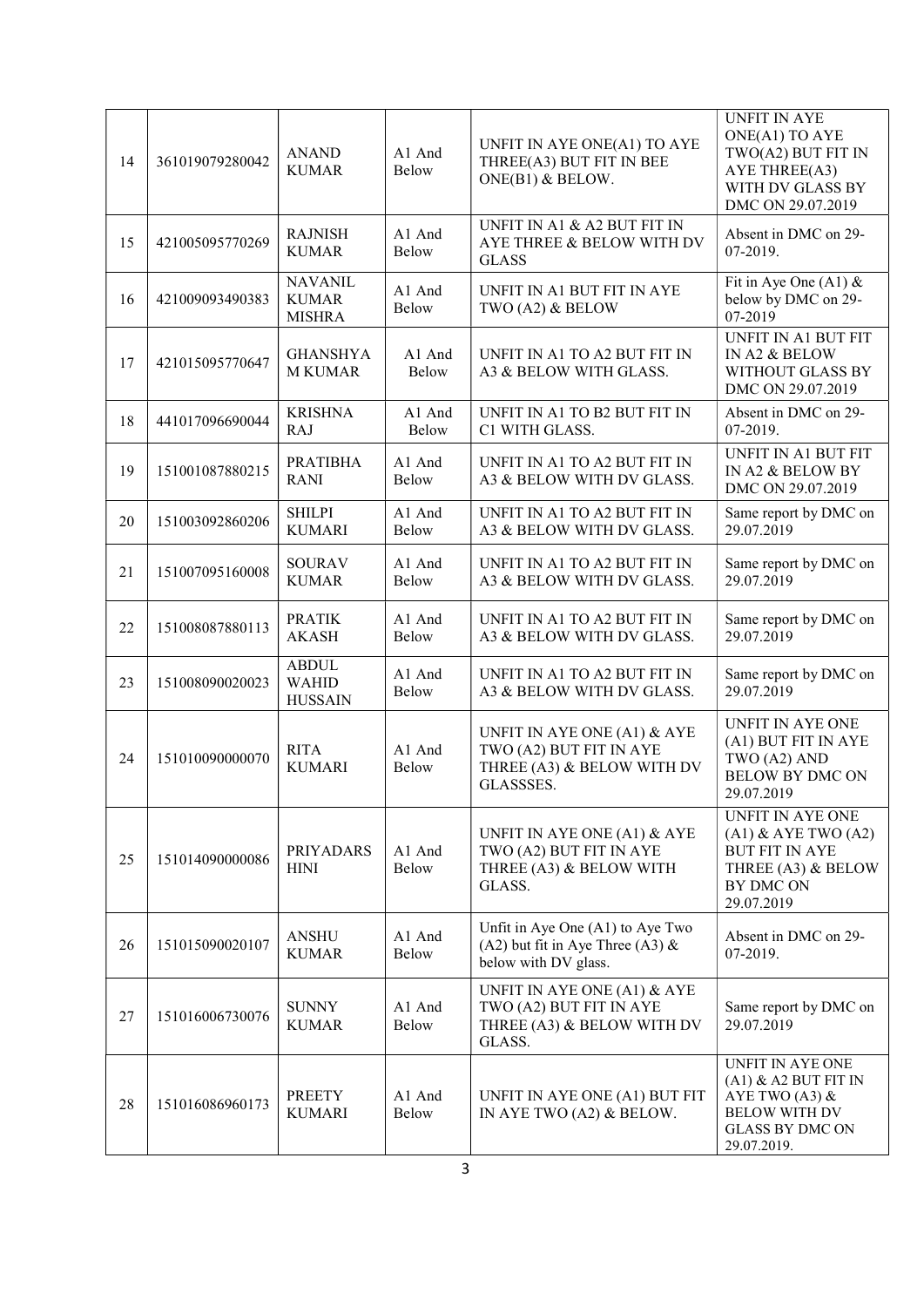| 14 | 361019079280042 | <b>ANAND</b><br><b>KUMAR</b>                    | A1 And<br>Below | UNFIT IN AYE ONE(A1) TO AYE<br>THREE(A3) BUT FIT IN BEE<br>ONE(B1) & BELOW.                       | <b>UNFIT IN AYE</b><br>ONE(A1) TO AYE<br>TWO(A2) BUT FIT IN<br>AYE THREE(A3)<br>WITH DV GLASS BY<br>DMC ON 29.07.2019                    |  |
|----|-----------------|-------------------------------------------------|-----------------|---------------------------------------------------------------------------------------------------|------------------------------------------------------------------------------------------------------------------------------------------|--|
| 15 | 421005095770269 | <b>RAJNISH</b><br><b>KUMAR</b>                  | A1 And<br>Below | UNFIT IN A1 & A2 BUT FIT IN<br>AYE THREE & BELOW WITH DV<br><b>GLASS</b>                          | Absent in DMC on 29-<br>07-2019.                                                                                                         |  |
| 16 | 421009093490383 | <b>NAVANIL</b><br><b>KUMAR</b><br><b>MISHRA</b> | A1 And<br>Below | UNFIT IN A1 BUT FIT IN AYE<br>TWO (A2) & BELOW                                                    | Fit in Aye One (A1) $&$<br>below by DMC on 29-<br>07-2019                                                                                |  |
| 17 | 421015095770647 | <b>GHANSHYA</b><br><b>M KUMAR</b>               | A1 And<br>Below | UNFIT IN A1 TO A2 BUT FIT IN<br>A3 & BELOW WITH GLASS.                                            | <b>UNFIT IN A1 BUT FIT</b><br>IN A2 & BELOW<br>WITHOUT GLASS BY<br>DMC ON 29.07.2019                                                     |  |
| 18 | 441017096690044 | <b>KRISHNA</b><br><b>RAJ</b>                    | A1 And<br>Below | UNFIT IN A1 TO B2 BUT FIT IN<br>C1 WITH GLASS.                                                    | Absent in DMC on 29-<br>07-2019.                                                                                                         |  |
| 19 | 151001087880215 | <b>PRATIBHA</b><br><b>RANI</b>                  | A1 And<br>Below | UNFIT IN A1 TO A2 BUT FIT IN<br>A3 & BELOW WITH DV GLASS.                                         | UNFIT IN A1 BUT FIT<br>IN A2 & BELOW BY<br>DMC ON 29.07.2019                                                                             |  |
| 20 | 151003092860206 | <b>SHILPI</b><br><b>KUMARI</b>                  | A1 And<br>Below | UNFIT IN A1 TO A2 BUT FIT IN<br>A3 & BELOW WITH DV GLASS.                                         | Same report by DMC on<br>29.07.2019                                                                                                      |  |
| 21 | 151007095160008 | <b>SOURAV</b><br><b>KUMAR</b>                   | A1 And<br>Below | UNFIT IN A1 TO A2 BUT FIT IN<br>A3 & BELOW WITH DV GLASS.                                         | Same report by DMC on<br>29.07.2019                                                                                                      |  |
| 22 | 151008087880113 | <b>PRATIK</b><br><b>AKASH</b>                   | A1 And<br>Below | UNFIT IN A1 TO A2 BUT FIT IN<br>A3 & BELOW WITH DV GLASS.                                         | Same report by DMC on<br>29.07.2019                                                                                                      |  |
| 23 | 151008090020023 | <b>ABDUL</b><br><b>WAHID</b><br><b>HUSSAIN</b>  | A1 And<br>Below | UNFIT IN A1 TO A2 BUT FIT IN<br>A3 & BELOW WITH DV GLASS.                                         | Same report by DMC on<br>29.07.2019                                                                                                      |  |
| 24 | 151010090000070 | <b>RITA</b><br><b>KUMARI</b>                    | A1 And<br>Below | UNFIT IN AYE ONE (A1) & AYE<br>TWO (A2) BUT FIT IN AYE<br>THREE (A3) & BELOW WITH DV<br>GLASSSES. | UNFIT IN AYE ONE<br>(A1) BUT FIT IN AYE<br>TWO (A2) AND<br><b>BELOW BY DMC ON</b><br>29.07.2019                                          |  |
| 25 | 151014090000086 | PRIYADARS<br><b>HINI</b>                        | A1 And<br>Below | UNFIT IN AYE ONE (A1) & AYE<br>TWO (A2) BUT FIT IN AYE<br>THREE (A3) & BELOW WITH<br>GLASS.       | UNFIT IN AYE ONE<br>$(A1)$ & AYE TWO $(A2)$<br><b>BUT FIT IN AYE</b><br>THREE (A3) & BELOW<br>BY DMC ON<br>29.07.2019                    |  |
| 26 | 151015090020107 | <b>ANSHU</b><br><b>KUMAR</b>                    | A1 And<br>Below | Unfit in Aye One (A1) to Aye Two<br>(A2) but fit in Aye Three (A3) $\&$<br>below with DV glass.   | Absent in DMC on 29-<br>07-2019.                                                                                                         |  |
| 27 | 151016006730076 | <b>SUNNY</b><br><b>KUMAR</b>                    | A1 And<br>Below | UNFIT IN AYE ONE (A1) & AYE<br>TWO (A2) BUT FIT IN AYE<br>THREE (A3) & BELOW WITH DV<br>GLASS.    | Same report by DMC on<br>29.07.2019                                                                                                      |  |
| 28 | 151016086960173 | <b>PREETY</b><br><b>KUMARI</b>                  | A1 And<br>Below | UNFIT IN AYE ONE (A1) BUT FIT<br>IN AYE TWO (A2) & BELOW.                                         | <b>UNFIT IN AYE ONE</b><br>$(A1)$ & $A2$ BUT FIT IN<br>AYE TWO (A3) $&$<br><b>BELOW WITH DV</b><br><b>GLASS BY DMC ON</b><br>29.07.2019. |  |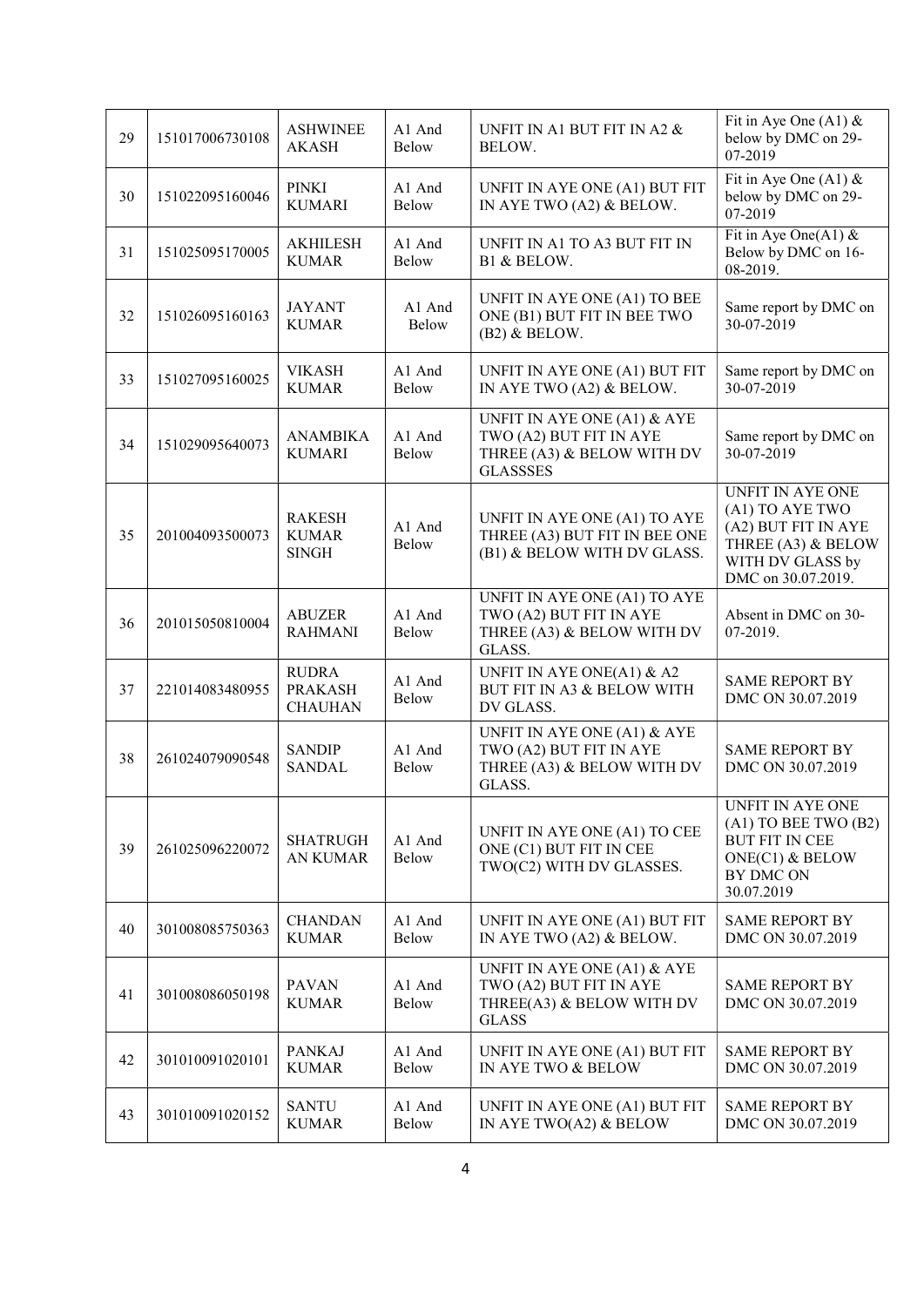| 29 | 151017006730108 | <b>ASHWINEE</b><br><b>AKASH</b>                  | A1 And<br><b>Below</b> | UNFIT IN A1 BUT FIT IN A2 &<br>BELOW.                                                                   | Fit in Aye One (A1) $&$<br>below by DMC on 29-<br>07-2019                                                                         |
|----|-----------------|--------------------------------------------------|------------------------|---------------------------------------------------------------------------------------------------------|-----------------------------------------------------------------------------------------------------------------------------------|
| 30 | 151022095160046 | <b>PINKI</b><br><b>KUMARI</b>                    | A1 And<br>Below        | UNFIT IN AYE ONE (A1) BUT FIT<br>IN AYE TWO (A2) & BELOW.                                               | Fit in Aye One (A1) $&$<br>below by DMC on 29-<br>07-2019                                                                         |
| 31 | 151025095170005 | <b>AKHILESH</b><br><b>KUMAR</b>                  | A1 And<br>Below        | UNFIT IN A1 TO A3 BUT FIT IN<br>B1 & BELOW.                                                             | Fit in Aye One(A1) $&$<br>Below by DMC on 16-<br>08-2019.                                                                         |
| 32 | 151026095160163 | <b>JAYANT</b><br><b>KUMAR</b>                    | A1 And<br>Below        | UNFIT IN AYE ONE (A1) TO BEE<br>ONE (B1) BUT FIT IN BEE TWO<br>$(B2)$ & BELOW.                          | Same report by DMC on<br>30-07-2019                                                                                               |
| 33 | 151027095160025 | <b>VIKASH</b><br><b>KUMAR</b>                    | A1 And<br>Below        | UNFIT IN AYE ONE (A1) BUT FIT<br>IN AYE TWO (A2) & BELOW.                                               | Same report by DMC on<br>30-07-2019                                                                                               |
| 34 | 151029095640073 | <b>ANAMBIKA</b><br><b>KUMARI</b>                 | A1 And<br>Below        | UNFIT IN AYE ONE (A1) & AYE<br>TWO (A2) BUT FIT IN AYE<br>THREE (A3) & BELOW WITH DV<br><b>GLASSSES</b> | Same report by DMC on<br>30-07-2019                                                                                               |
| 35 | 201004093500073 | <b>RAKESH</b><br><b>KUMAR</b><br><b>SINGH</b>    | A1 And<br>Below        | UNFIT IN AYE ONE (A1) TO AYE<br>THREE (A3) BUT FIT IN BEE ONE<br>(B1) & BELOW WITH DV GLASS.            | <b>UNFIT IN AYE ONE</b><br>(A1) TO AYE TWO<br>(A2) BUT FIT IN AYE<br>THREE (A3) & BELOW<br>WITH DV GLASS by<br>DMC on 30.07.2019. |
| 36 | 201015050810004 | <b>ABUZER</b><br><b>RAHMANI</b>                  | A1 And<br>Below        | UNFIT IN AYE ONE (A1) TO AYE<br>TWO (A2) BUT FIT IN AYE<br>THREE (A3) & BELOW WITH DV<br>GLASS.         | Absent in DMC on 30-<br>07-2019.                                                                                                  |
| 37 | 221014083480955 | <b>RUDRA</b><br><b>PRAKASH</b><br><b>CHAUHAN</b> | A1 And<br>Below        | UNFIT IN AYE ONE(A1) $&$ A2<br>BUT FIT IN A3 & BELOW WITH<br>DV GLASS.                                  | <b>SAME REPORT BY</b><br>DMC ON 30.07.2019                                                                                        |
| 38 | 261024079090548 | <b>SANDIP</b><br><b>SANDAL</b>                   | A1 And<br>Below        | UNFIT IN AYE ONE (A1) & AYE<br>TWO (A2) BUT FIT IN AYE<br>THREE (A3) & BELOW WITH DV<br>GLASS.          | <b>SAME REPORT BY</b><br>DMC ON 30.07.2019                                                                                        |
| 39 | 261025096220072 | <b>SHATRUGH</b><br><b>AN KUMAR</b>               | A1 And<br>Below        | UNFIT IN AYE ONE (A1) TO CEE<br>ONE (C1) BUT FIT IN CEE<br>TWO(C2) WITH DV GLASSES.                     | UNFIT IN AYE ONE<br>$(A1)$ TO BEE TWO $(B2)$<br><b>BUT FIT IN CEE</b><br>ONE(C1) & BELOW<br>BY DMC ON<br>30.07.2019               |
| 40 | 301008085750363 | <b>CHANDAN</b><br><b>KUMAR</b>                   | A1 And<br>Below        | UNFIT IN AYE ONE (A1) BUT FIT<br>IN AYE TWO (A2) & BELOW.                                               | <b>SAME REPORT BY</b><br>DMC ON 30.07.2019                                                                                        |
| 41 | 301008086050198 | <b>PAVAN</b><br><b>KUMAR</b>                     | A1 And<br>Below        | UNFIT IN AYE ONE (A1) & AYE<br>TWO (A2) BUT FIT IN AYE<br>THREE(A3) & BELOW WITH DV<br><b>GLASS</b>     | <b>SAME REPORT BY</b><br>DMC ON 30.07.2019                                                                                        |
| 42 | 301010091020101 | <b>PANKAJ</b><br><b>KUMAR</b>                    | A1 And<br>Below        | UNFIT IN AYE ONE (A1) BUT FIT<br>IN AYE TWO & BELOW                                                     | <b>SAME REPORT BY</b><br>DMC ON 30.07.2019                                                                                        |
| 43 | 301010091020152 | <b>SANTU</b><br><b>KUMAR</b>                     | A1 And<br>Below        | UNFIT IN AYE ONE (A1) BUT FIT<br>IN AYE TWO(A2) $&$ BELOW                                               | <b>SAME REPORT BY</b><br>DMC ON 30.07.2019                                                                                        |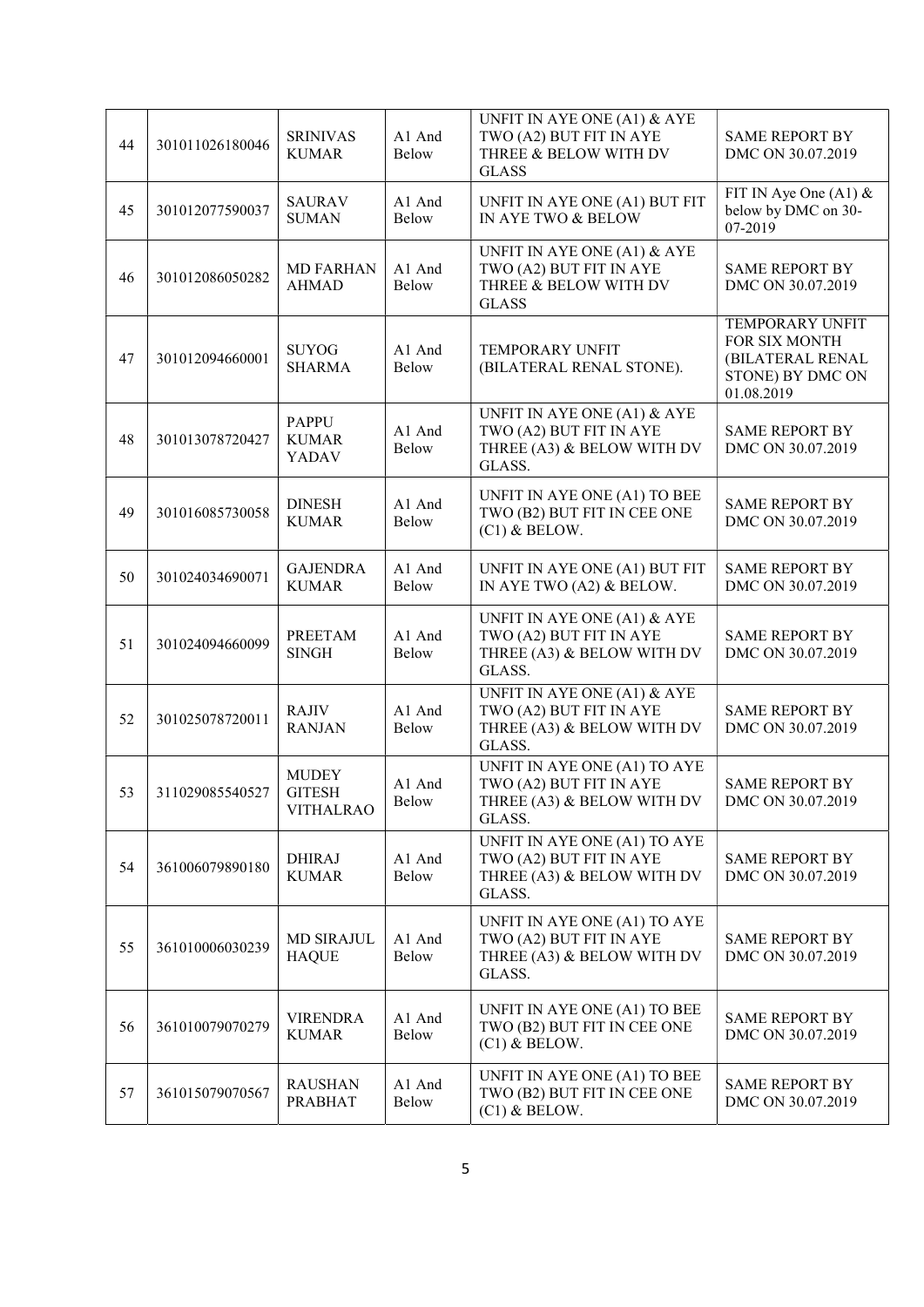| 44 | 301011026180046 | <b>SRINIVAS</b><br><b>KUMAR</b>                   | A1 And<br>Below        | UNFIT IN AYE ONE (A1) & AYE<br>TWO (A2) BUT FIT IN AYE<br>THREE & BELOW WITH DV<br><b>GLASS</b> | <b>SAME REPORT BY</b><br>DMC ON 30.07.2019                                                    |  |
|----|-----------------|---------------------------------------------------|------------------------|-------------------------------------------------------------------------------------------------|-----------------------------------------------------------------------------------------------|--|
| 45 | 301012077590037 | <b>SAURAV</b><br><b>SUMAN</b>                     | A1 And<br>Below        | UNFIT IN AYE ONE (A1) BUT FIT<br>IN AYE TWO & BELOW                                             | FIT IN Aye One (A1) $&$<br>below by DMC on 30-<br>07-2019                                     |  |
| 46 | 301012086050282 | <b>MD FARHAN</b><br><b>AHMAD</b>                  | A1 And<br>Below        | UNFIT IN AYE ONE (A1) & AYE<br>TWO (A2) BUT FIT IN AYE<br>THREE & BELOW WITH DV<br><b>GLASS</b> | <b>SAME REPORT BY</b><br>DMC ON 30.07.2019                                                    |  |
| 47 | 301012094660001 | <b>SUYOG</b><br><b>SHARMA</b>                     | A1 And<br>Below        | <b>TEMPORARY UNFIT</b><br>(BILATERAL RENAL STONE).                                              | <b>TEMPORARY UNFIT</b><br>FOR SIX MONTH<br>(BILATERAL RENAL<br>STONE) BY DMC ON<br>01.08.2019 |  |
| 48 | 301013078720427 | <b>PAPPU</b><br><b>KUMAR</b><br>YADAV             | A1 And<br>Below        | UNFIT IN AYE ONE (A1) & AYE<br>TWO (A2) BUT FIT IN AYE<br>THREE (A3) & BELOW WITH DV<br>GLASS.  | <b>SAME REPORT BY</b><br>DMC ON 30.07.2019                                                    |  |
| 49 | 301016085730058 | <b>DINESH</b><br><b>KUMAR</b>                     | A1 And<br><b>Below</b> | UNFIT IN AYE ONE (A1) TO BEE<br>TWO (B2) BUT FIT IN CEE ONE<br>$(C1)$ & BELOW.                  | <b>SAME REPORT BY</b><br>DMC ON 30.07.2019                                                    |  |
| 50 | 301024034690071 | <b>GAJENDRA</b><br><b>KUMAR</b>                   | A1 And<br>Below        | UNFIT IN AYE ONE (A1) BUT FIT<br>IN AYE TWO (A2) & BELOW.                                       | <b>SAME REPORT BY</b><br>DMC ON 30.07.2019                                                    |  |
| 51 | 301024094660099 | <b>PREETAM</b><br><b>SINGH</b>                    | A1 And<br>Below        | UNFIT IN AYE ONE (A1) & AYE<br>TWO (A2) BUT FIT IN AYE<br>THREE (A3) & BELOW WITH DV<br>GLASS.  | <b>SAME REPORT BY</b><br>DMC ON 30.07.2019                                                    |  |
| 52 | 301025078720011 | <b>RAJIV</b><br><b>RANJAN</b>                     | A1 And<br>Below        | UNFIT IN AYE ONE (A1) & AYE<br>TWO (A2) BUT FIT IN AYE<br>THREE (A3) & BELOW WITH DV<br>GLASS.  | <b>SAME REPORT BY</b><br>DMC ON 30.07.2019                                                    |  |
| 53 | 311029085540527 | <b>MUDEY</b><br><b>GITESH</b><br><b>VITHALRAO</b> | A1 And<br>Below        | UNFIT IN AYE ONE (A1) TO AYE<br>TWO (A2) BUT FIT IN AYE<br>THREE (A3) & BELOW WITH DV<br>GLASS. | <b>SAME REPORT BY</b><br>DMC ON 30.07.2019                                                    |  |
| 54 | 361006079890180 | <b>DHIRAJ</b><br><b>KUMAR</b>                     | A1 And<br>Below        | UNFIT IN AYE ONE (A1) TO AYE<br>TWO (A2) BUT FIT IN AYE<br>THREE (A3) & BELOW WITH DV<br>GLASS. | <b>SAME REPORT BY</b><br>DMC ON 30.07.2019                                                    |  |
| 55 | 361010006030239 | <b>MD SIRAJUL</b><br><b>HAQUE</b>                 | A1 And<br>Below        | UNFIT IN AYE ONE (A1) TO AYE<br>TWO (A2) BUT FIT IN AYE<br>THREE (A3) & BELOW WITH DV<br>GLASS. | <b>SAME REPORT BY</b><br>DMC ON 30.07.2019                                                    |  |
| 56 | 361010079070279 | <b>VIRENDRA</b><br><b>KUMAR</b>                   | A1 And<br>Below        | UNFIT IN AYE ONE (A1) TO BEE<br>TWO (B2) BUT FIT IN CEE ONE<br>$(C1)$ & BELOW.                  | <b>SAME REPORT BY</b><br>DMC ON 30.07.2019                                                    |  |
| 57 | 361015079070567 | <b>RAUSHAN</b><br><b>PRABHAT</b>                  | A1 And<br>Below        | UNFIT IN AYE ONE (A1) TO BEE<br>TWO (B2) BUT FIT IN CEE ONE<br>$(C1)$ & BELOW.                  | <b>SAME REPORT BY</b><br>DMC ON 30.07.2019                                                    |  |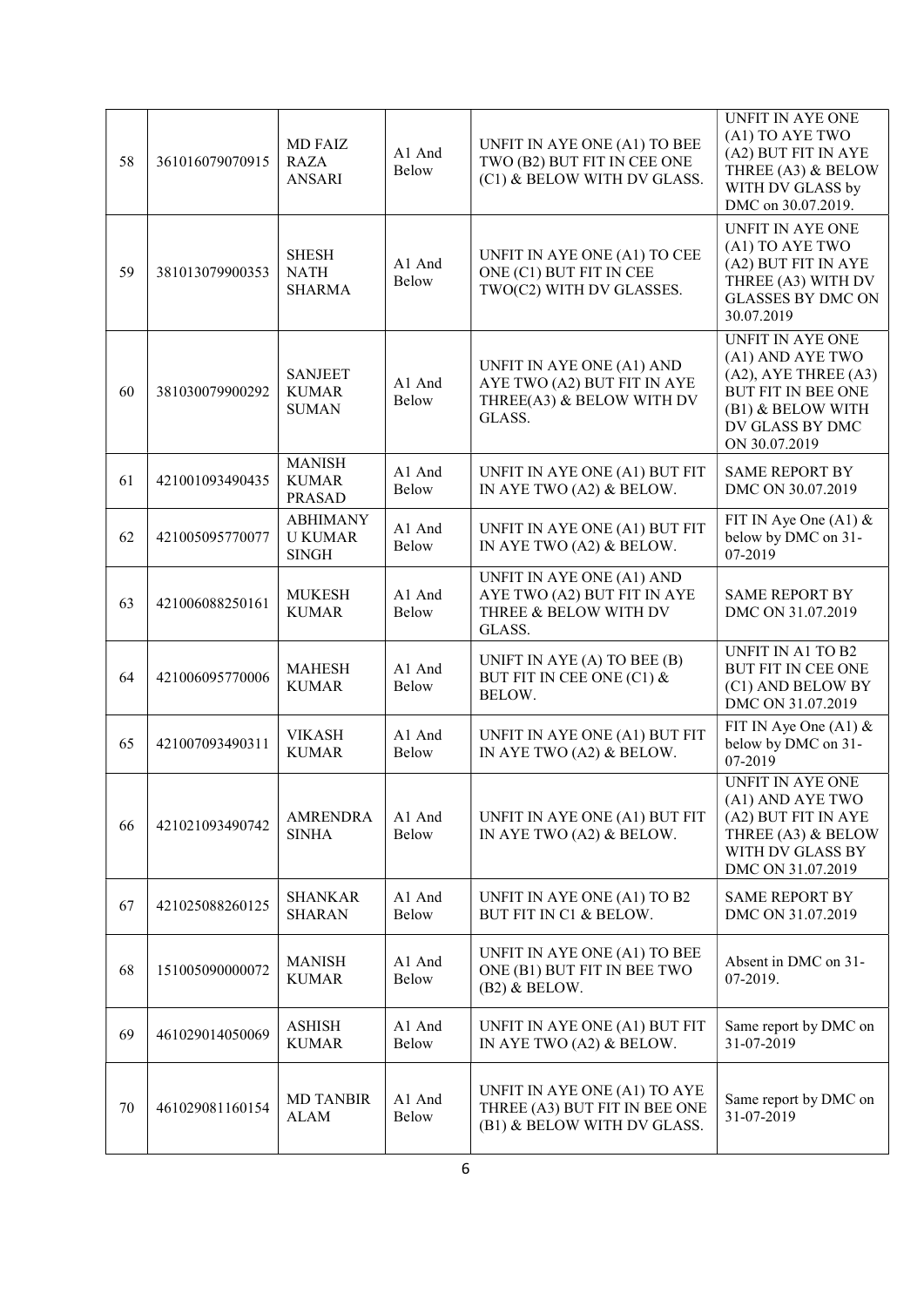| 58 | 361016079070915 | <b>MD FAIZ</b><br><b>RAZA</b><br><b>ANSARI</b>    | A1 And<br>Below        | UNFIT IN AYE ONE (A1) TO BEE<br>TWO (B2) BUT FIT IN CEE ONE<br>(C1) & BELOW WITH DV GLASS.      | <b>UNFIT IN AYE ONE</b><br>(A1) TO AYE TWO<br>(A2) BUT FIT IN AYE<br>THREE (A3) & BELOW<br>WITH DV GLASS by<br>DMC on 30.07.2019.                       |
|----|-----------------|---------------------------------------------------|------------------------|-------------------------------------------------------------------------------------------------|---------------------------------------------------------------------------------------------------------------------------------------------------------|
| 59 | 381013079900353 | <b>SHESH</b><br><b>NATH</b><br><b>SHARMA</b>      | A1 And<br><b>Below</b> | UNFIT IN AYE ONE (A1) TO CEE<br>ONE (C1) BUT FIT IN CEE<br>TWO(C2) WITH DV GLASSES.             | UNFIT IN AYE ONE<br>(A1) TO AYE TWO<br>(A2) BUT FIT IN AYE<br>THREE (A3) WITH DV<br><b>GLASSES BY DMC ON</b><br>30.07.2019                              |
| 60 | 381030079900292 | <b>SANJEET</b><br><b>KUMAR</b><br><b>SUMAN</b>    | A1 And<br>Below        | UNFIT IN AYE ONE (A1) AND<br>AYE TWO (A2) BUT FIT IN AYE<br>THREE(A3) & BELOW WITH DV<br>GLASS. | <b>UNFIT IN AYE ONE</b><br>(A1) AND AYE TWO<br>$(A2)$ , AYE THREE $(A3)$<br>BUT FIT IN BEE ONE<br>(B1) & BELOW WITH<br>DV GLASS BY DMC<br>ON 30.07.2019 |
| 61 | 421001093490435 | <b>MANISH</b><br><b>KUMAR</b><br><b>PRASAD</b>    | A1 And<br>Below        | UNFIT IN AYE ONE (A1) BUT FIT<br>IN AYE TWO (A2) & BELOW.                                       | <b>SAME REPORT BY</b><br>DMC ON 30.07.2019                                                                                                              |
| 62 | 421005095770077 | <b>ABHIMANY</b><br><b>U KUMAR</b><br><b>SINGH</b> | A1 And<br>Below        | UNFIT IN AYE ONE (A1) BUT FIT<br>IN AYE TWO (A2) & BELOW.                                       | FIT IN Aye One (A1) $&$<br>below by DMC on 31-<br>07-2019                                                                                               |
| 63 | 421006088250161 | <b>MUKESH</b><br><b>KUMAR</b>                     | A1 And<br>Below        | UNFIT IN AYE ONE (A1) AND<br>AYE TWO (A2) BUT FIT IN AYE<br>THREE & BELOW WITH DV<br>GLASS.     | <b>SAME REPORT BY</b><br>DMC ON 31.07.2019                                                                                                              |
| 64 | 421006095770006 | <b>MAHESH</b><br><b>KUMAR</b>                     | A1 And<br>Below        | UNIFT IN AYE (A) TO BEE (B)<br>BUT FIT IN CEE ONE (C1) &<br>BELOW.                              | <b>UNFIT IN A1 TO B2</b><br>BUT FIT IN CEE ONE<br>(C1) AND BELOW BY<br>DMC ON 31.07.2019                                                                |
| 65 | 421007093490311 | <b>VIKASH</b><br><b>KUMAR</b>                     | A1 And<br>Below        | UNFIT IN AYE ONE (A1) BUT FIT<br>IN AYE TWO (A2) & BELOW.                                       | FIT IN Aye One $(A1)$ &<br>below by DMC on 31-<br>07-2019                                                                                               |
| 66 | 421021093490742 | <b>AMRENDRA</b><br><b>SINHA</b>                   | A1 And<br>Below        | UNFIT IN AYE ONE (A1) BUT FIT<br>IN AYE TWO (A2) & BELOW.                                       | <b>UNFIT IN AYE ONE</b><br>(A1) AND AYE TWO<br>(A2) BUT FIT IN AYE<br>THREE (A3) & BELOW<br>WITH DV GLASS BY<br>DMC ON 31.07.2019                       |
| 67 | 421025088260125 | SHANKAR<br><b>SHARAN</b>                          | A1 And<br>Below        | UNFIT IN AYE ONE (A1) TO B2<br>BUT FIT IN C1 & BELOW.                                           | <b>SAME REPORT BY</b><br>DMC ON 31.07.2019                                                                                                              |
| 68 | 151005090000072 | <b>MANISH</b><br><b>KUMAR</b>                     | A1 And<br>Below        | UNFIT IN AYE ONE (A1) TO BEE<br>ONE (B1) BUT FIT IN BEE TWO<br>$(B2)$ & BELOW.                  | Absent in DMC on 31-<br>07-2019.                                                                                                                        |
| 69 | 461029014050069 | <b>ASHISH</b><br><b>KUMAR</b>                     | A1 And<br>Below        | UNFIT IN AYE ONE (A1) BUT FIT<br>IN AYE TWO (A2) & BELOW.                                       | Same report by DMC on<br>31-07-2019                                                                                                                     |
| 70 | 461029081160154 | <b>MD TANBIR</b><br><b>ALAM</b>                   | A1 And<br>Below        | UNFIT IN AYE ONE (A1) TO AYE<br>THREE (A3) BUT FIT IN BEE ONE<br>(B1) & BELOW WITH DV GLASS.    | Same report by DMC on<br>31-07-2019                                                                                                                     |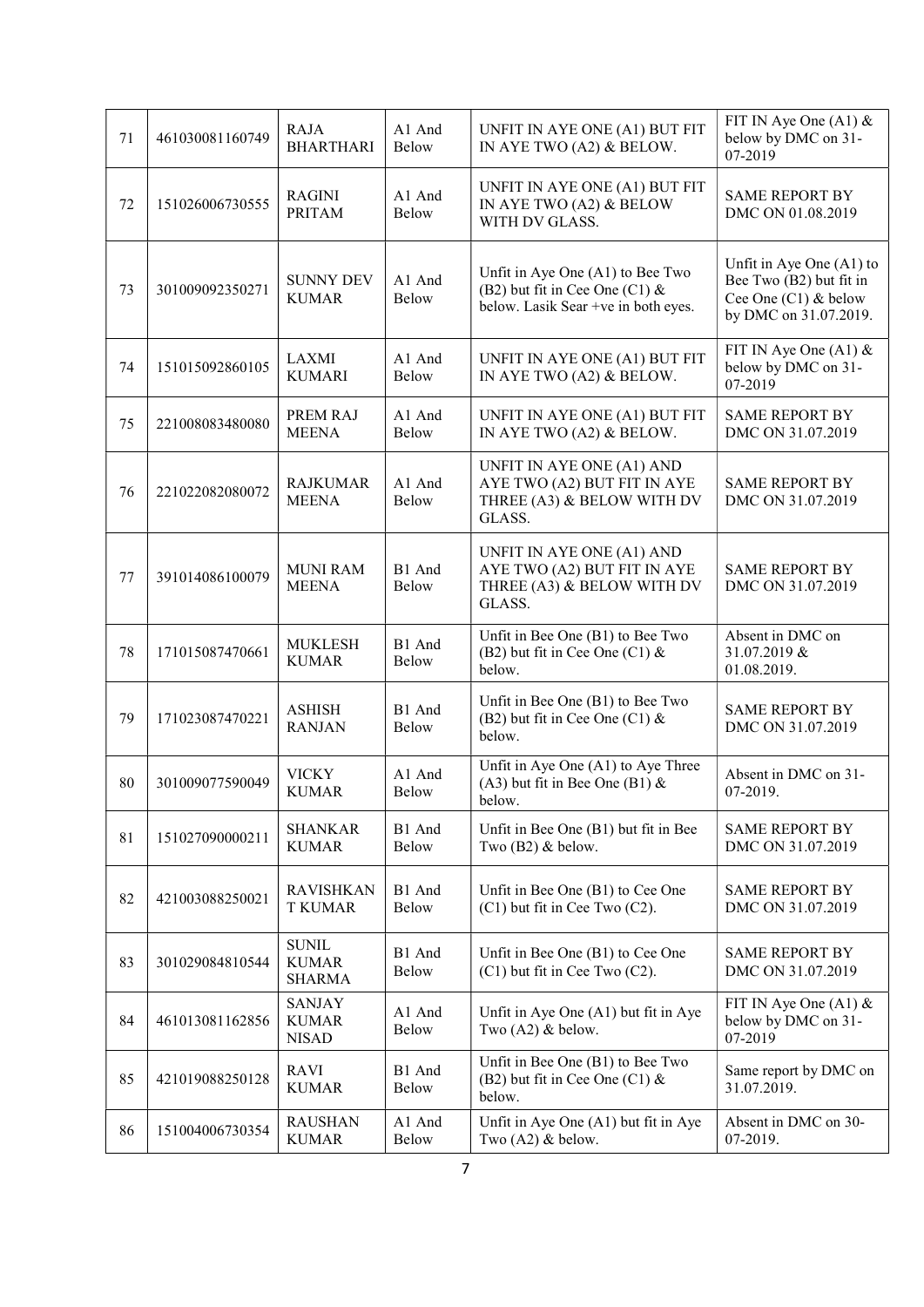| 71 | 461030081160749 | <b>RAJA</b><br><b>BHARTHARI</b>               | A1 And<br>Below | UNFIT IN AYE ONE (A1) BUT FIT<br>IN AYE TWO (A2) & BELOW.                                                    | FIT IN Aye One $(A1)$ &<br>below by DMC on 31-<br>07-2019                                              |  |
|----|-----------------|-----------------------------------------------|-----------------|--------------------------------------------------------------------------------------------------------------|--------------------------------------------------------------------------------------------------------|--|
| 72 | 151026006730555 | <b>RAGINI</b><br><b>PRITAM</b>                | A1 And<br>Below | UNFIT IN AYE ONE (A1) BUT FIT<br>IN AYE TWO (A2) $&$ BELOW<br>WITH DV GLASS.                                 | <b>SAME REPORT BY</b><br>DMC ON 01.08.2019                                                             |  |
| 73 | 301009092350271 | <b>SUNNY DEV</b><br><b>KUMAR</b>              | A1 And<br>Below | Unfit in Aye One (A1) to Bee Two<br>(B2) but fit in Cee One (C1) $\&$<br>below. Lasik Sear +ve in both eyes. | Unfit in Aye One $(A1)$ to<br>Bee Two (B2) but fit in<br>Cee One (C1) & below<br>by DMC on 31.07.2019. |  |
| 74 | 151015092860105 | <b>LAXMI</b><br><b>KUMARI</b>                 | A1 And<br>Below | UNFIT IN AYE ONE (A1) BUT FIT<br>IN AYE TWO (A2) & BELOW.                                                    | FIT IN Aye One (A1) $&$<br>below by DMC on 31-<br>07-2019                                              |  |
| 75 | 221008083480080 | PREM RAJ<br><b>MEENA</b>                      | A1 And<br>Below | UNFIT IN AYE ONE (A1) BUT FIT<br>IN AYE TWO (A2) & BELOW.                                                    | <b>SAME REPORT BY</b><br>DMC ON 31.07.2019                                                             |  |
| 76 | 221022082080072 | <b>RAJKUMAR</b><br><b>MEENA</b>               | A1 And<br>Below | UNFIT IN AYE ONE (A1) AND<br>AYE TWO (A2) BUT FIT IN AYE<br>THREE (A3) & BELOW WITH DV<br>GLASS.             | <b>SAME REPORT BY</b><br>DMC ON 31.07.2019                                                             |  |
| 77 | 391014086100079 | <b>MUNI RAM</b><br><b>MEENA</b>               | B1 And<br>Below | UNFIT IN AYE ONE (A1) AND<br>AYE TWO (A2) BUT FIT IN AYE<br>THREE (A3) & BELOW WITH DV<br>GLASS.             | <b>SAME REPORT BY</b><br>DMC ON 31.07.2019                                                             |  |
| 78 | 171015087470661 | <b>MUKLESH</b><br><b>KUMAR</b>                | B1 And<br>Below | Unfit in Bee One (B1) to Bee Two<br>(B2) but fit in Cee One (C1) $&$<br>below.                               | Absent in DMC on<br>31.07.2019 &<br>01.08.2019.                                                        |  |
| 79 | 171023087470221 | <b>ASHISH</b><br><b>RANJAN</b>                | B1 And<br>Below | Unfit in Bee One (B1) to Bee Two<br>(B2) but fit in Cee One (C1) $&$<br>below.                               | <b>SAME REPORT BY</b><br>DMC ON 31.07.2019                                                             |  |
| 80 | 301009077590049 | <b>VICKY</b><br><b>KUMAR</b>                  | A1 And<br>Below | Unfit in Aye One (A1) to Aye Three<br>(A3) but fit in Bee One (B1) $\&$<br>below.                            | Absent in DMC on 31-<br>07-2019.                                                                       |  |
| 81 | 151027090000211 | <b>SHANKAR</b><br><b>KUMAR</b>                | B1 And<br>Below | Unfit in Bee One (B1) but fit in Bee<br>Two $(B2)$ & below.                                                  | <b>SAME REPORT BY</b><br>DMC ON 31.07.2019                                                             |  |
| 82 | 421003088250021 | <b>RAVISHKAN</b><br><b>T KUMAR</b>            | B1 And<br>Below | Unfit in Bee One (B1) to Cee One<br>(C1) but fit in Cee Two (C2).                                            | <b>SAME REPORT BY</b><br>DMC ON 31.07.2019                                                             |  |
| 83 | 301029084810544 | <b>SUNIL</b><br><b>KUMAR</b><br><b>SHARMA</b> | B1 And<br>Below | Unfit in Bee One (B1) to Cee One<br>$(C1)$ but fit in Cee Two $(C2)$ .                                       | <b>SAME REPORT BY</b><br>DMC ON 31.07.2019                                                             |  |
| 84 | 461013081162856 | <b>SANJAY</b><br><b>KUMAR</b><br><b>NISAD</b> | A1 And<br>Below | Unfit in Aye One (A1) but fit in Aye<br>Two $(A2)$ & below.                                                  | FIT IN Aye One $(A1)$ &<br>below by DMC on 31-<br>07-2019                                              |  |
| 85 | 421019088250128 | <b>RAVI</b><br><b>KUMAR</b>                   | B1 And<br>Below | Unfit in Bee One (B1) to Bee Two<br>(B2) but fit in Cee One (C1) $&$<br>below.                               | Same report by DMC on<br>31.07.2019.                                                                   |  |
| 86 | 151004006730354 | <b>RAUSHAN</b><br><b>KUMAR</b>                | A1 And<br>Below | Unfit in Aye One (A1) but fit in Aye<br>Two $(A2)$ & below.                                                  | Absent in DMC on 30-<br>07-2019.                                                                       |  |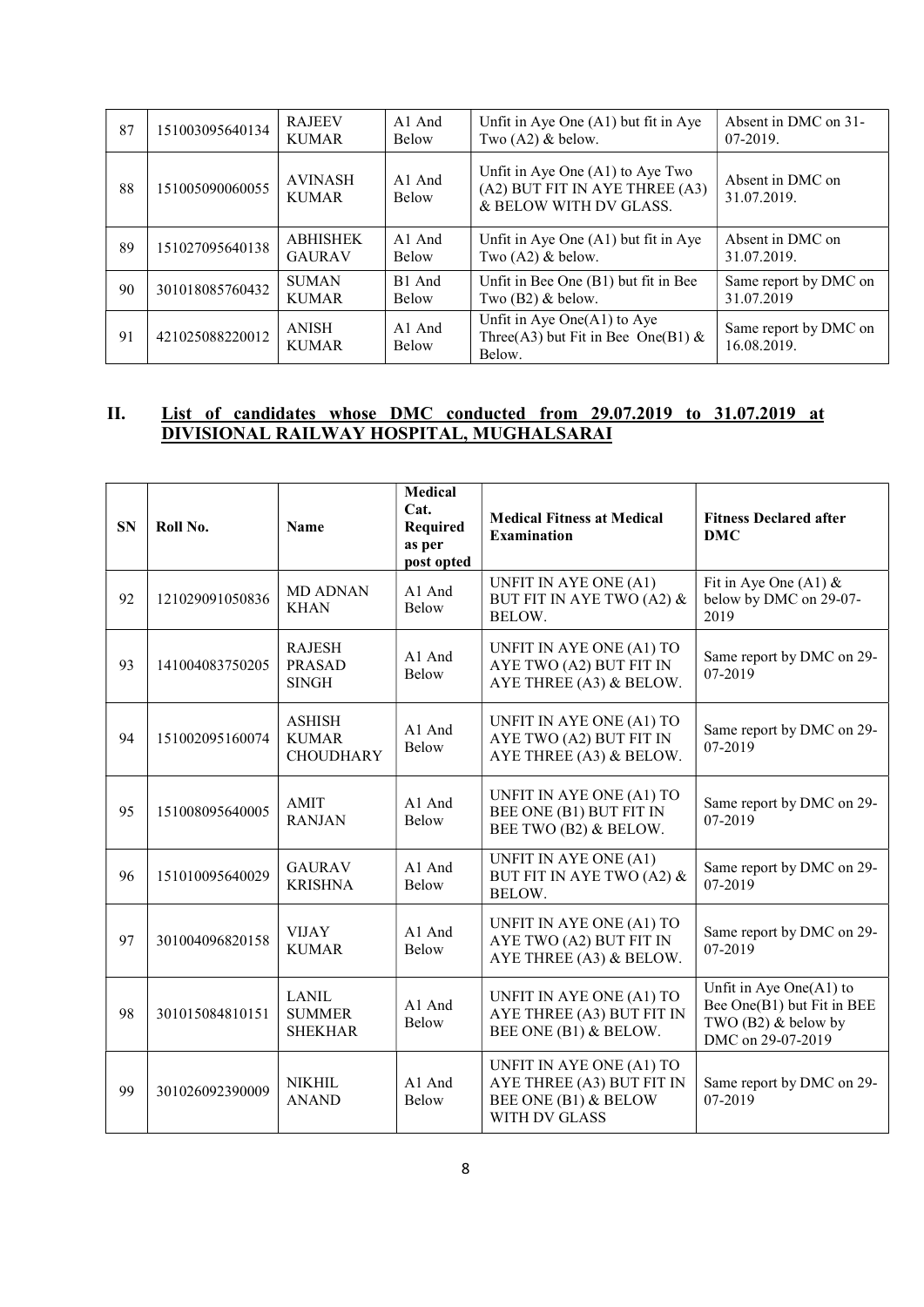| 87 | 151003095640134 | <b>RAJEEV</b><br><b>KUMAR</b>    | A <sub>1</sub> And<br><b>Below</b> | Unfit in Aye One $(A1)$ but fit in Aye<br>Two $(A2)$ & below.                                | Absent in DMC on 31-<br>07-2019.     |  |
|----|-----------------|----------------------------------|------------------------------------|----------------------------------------------------------------------------------------------|--------------------------------------|--|
| 88 | 151005090060055 | <b>AVINASH</b><br><b>KUMAR</b>   | A <sub>1</sub> And<br><b>Below</b> | Unfit in Aye One (A1) to Aye Two<br>(A2) BUT FIT IN AYE THREE (A3)<br>& BELOW WITH DV GLASS. | Absent in DMC on<br>31.07.2019.      |  |
| 89 | 151027095640138 | <b>ABHISHEK</b><br><b>GAURAV</b> | A1 And<br><b>Below</b>             | Unfit in Aye One (A1) but fit in Aye<br>Two $(A2)$ & below.                                  | Absent in DMC on<br>31.07.2019.      |  |
| 90 | 301018085760432 | <b>SUMAN</b><br><b>KUMAR</b>     | B1 And<br><b>Below</b>             | Unfit in Bee One (B1) but fit in Bee<br>Two $(B2)$ & below.                                  | Same report by DMC on<br>31.07.2019  |  |
| 91 | 421025088220012 | <b>ANISH</b><br><b>KUMAR</b>     | $A1$ And<br><b>Below</b>           | Unfit in Aye One $(A1)$ to Aye<br>Three(A3) but Fit in Bee One(B1) &<br>Below.               | Same report by DMC on<br>16.08.2019. |  |

# II. List of candidates whose DMC conducted from 29.07.2019 to 31.07.2019 at DIVISIONAL RAILWAY HOSPITAL, MUGHALSARAI

| <b>SN</b> | Roll No.        | <b>Name</b>                                       | <b>Medical</b><br>Cat.<br>Required<br>as per<br>post opted | <b>Medical Fitness at Medical</b><br><b>Examination</b>                                               | <b>Fitness Declared after</b><br><b>DMC</b>                                                         |  |
|-----------|-----------------|---------------------------------------------------|------------------------------------------------------------|-------------------------------------------------------------------------------------------------------|-----------------------------------------------------------------------------------------------------|--|
| 92        | 121029091050836 | <b>MD ADNAN</b><br><b>KHAN</b>                    | A1 And<br><b>Below</b>                                     | UNFIT IN AYE ONE (A1)<br>BUT FIT IN AYE TWO (A2) &<br>BELOW.                                          | Fit in Aye One (A1) $&$<br>below by DMC on 29-07-<br>2019                                           |  |
| 93        | 141004083750205 | <b>RAJESH</b><br><b>PRASAD</b><br><b>SINGH</b>    | A1 And<br><b>Below</b>                                     | UNFIT IN AYE ONE (A1) TO<br>AYE TWO (A2) BUT FIT IN<br>AYE THREE (A3) & BELOW.                        | Same report by DMC on 29-<br>07-2019                                                                |  |
| 94        | 151002095160074 | <b>ASHISH</b><br><b>KUMAR</b><br><b>CHOUDHARY</b> | A1 And<br><b>Below</b>                                     | UNFIT IN AYE ONE (A1) TO<br>AYE TWO (A2) BUT FIT IN<br>AYE THREE (A3) & BELOW.                        | Same report by DMC on 29-<br>07-2019                                                                |  |
| 95        | 151008095640005 | AMIT<br><b>RANJAN</b>                             | A1 And<br>Below                                            | UNFIT IN AYE ONE (A1) TO<br>BEE ONE (B1) BUT FIT IN<br>BEE TWO (B2) & BELOW.                          | Same report by DMC on 29-<br>07-2019                                                                |  |
| 96        | 151010095640029 | <b>GAURAV</b><br><b>KRISHNA</b>                   | A1 And<br><b>Below</b>                                     | UNFIT IN AYE ONE (A1)<br>BUT FIT IN AYE TWO (A2) &<br>BELOW.                                          | Same report by DMC on 29-<br>07-2019                                                                |  |
| 97        | 301004096820158 | <b>VIJAY</b><br><b>KUMAR</b>                      | A1 And<br>Below                                            | UNFIT IN AYE ONE (A1) TO<br>AYE TWO (A2) BUT FIT IN<br>AYE THREE (A3) & BELOW.                        | Same report by DMC on 29-<br>07-2019                                                                |  |
| 98        | 301015084810151 | <b>LANIL</b><br><b>SUMMER</b><br><b>SHEKHAR</b>   | A1 And<br>Below                                            | UNFIT IN AYE ONE (A1) TO<br>AYE THREE (A3) BUT FIT IN<br>BEE ONE (B1) & BELOW.                        | Unfit in Aye One(A1) to<br>Bee One(B1) but Fit in BEE<br>TWO $(B2)$ & below by<br>DMC on 29-07-2019 |  |
| 99        | 301026092390009 | <b>NIKHIL</b><br><b>ANAND</b>                     | A1 And<br><b>Below</b>                                     | UNFIT IN AYE ONE (A1) TO<br>AYE THREE (A3) BUT FIT IN<br>BEE ONE (B1) & BELOW<br><b>WITH DV GLASS</b> | Same report by DMC on 29-<br>07-2019                                                                |  |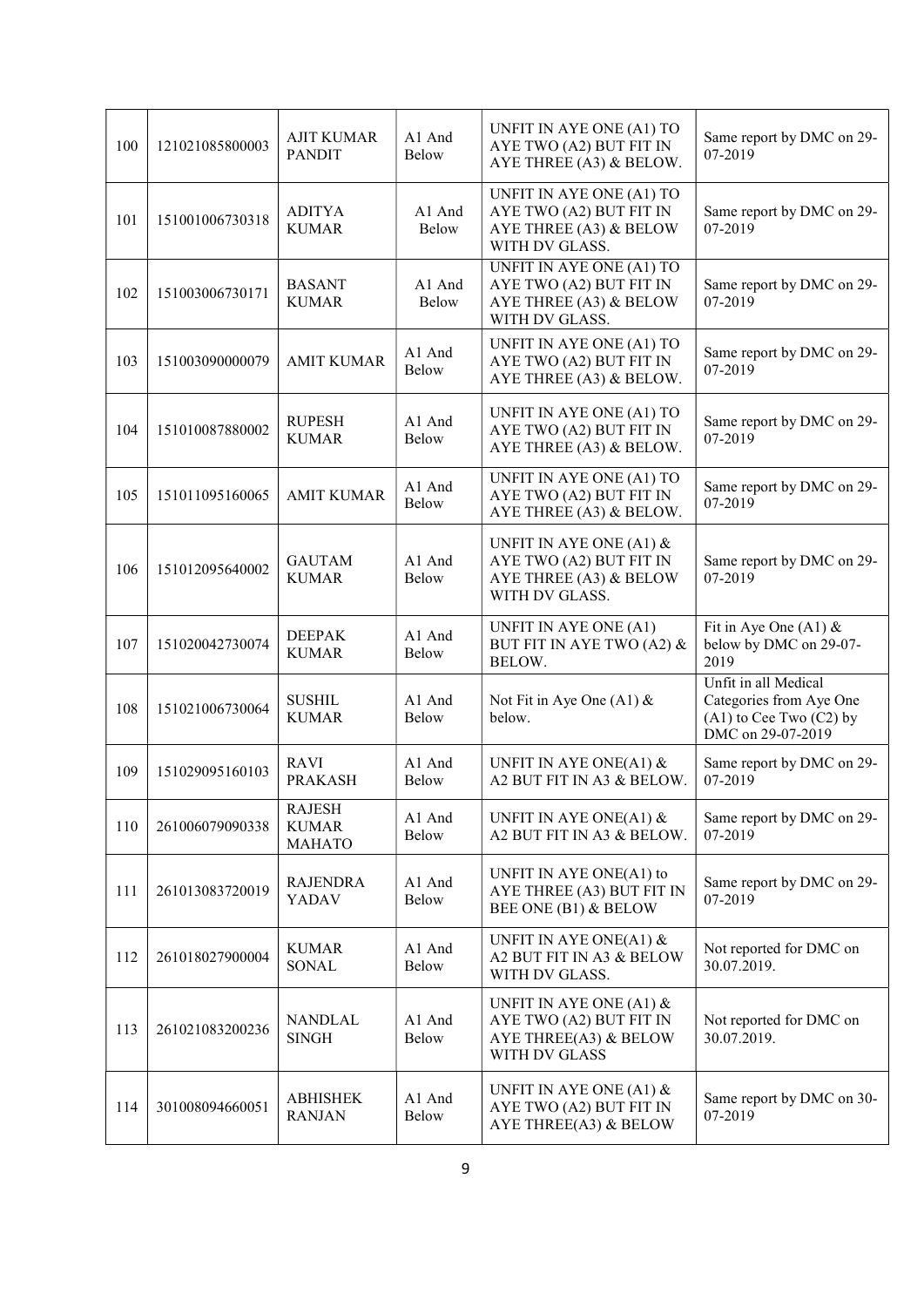| 100 | 121021085800003 | <b>AJIT KUMAR</b><br><b>PANDIT</b>      | A1 And<br><b>Below</b> | UNFIT IN AYE ONE (A1) TO<br>AYE TWO (A2) BUT FIT IN<br>AYE THREE (A3) & BELOW.                    | Same report by DMC on 29-<br>07-2019                                                                |  |
|-----|-----------------|-----------------------------------------|------------------------|---------------------------------------------------------------------------------------------------|-----------------------------------------------------------------------------------------------------|--|
| 101 | 151001006730318 | ADITYA<br><b>KUMAR</b>                  | A1 And<br>Below        | UNFIT IN AYE ONE (A1) TO<br>AYE TWO (A2) BUT FIT IN<br>AYE THREE (A3) & BELOW<br>WITH DV GLASS.   | Same report by DMC on 29-<br>07-2019                                                                |  |
| 102 | 151003006730171 | <b>BASANT</b><br><b>KUMAR</b>           | A1 And<br>Below        | UNFIT IN AYE ONE (A1) TO<br>AYE TWO (A2) BUT FIT IN<br>AYE THREE (A3) & BELOW<br>WITH DV GLASS.   | Same report by DMC on 29-<br>07-2019                                                                |  |
| 103 | 151003090000079 | <b>AMIT KUMAR</b>                       | A1 And<br>Below        | UNFIT IN AYE ONE (A1) TO<br>AYE TWO (A2) BUT FIT IN<br>AYE THREE (A3) & BELOW.                    | Same report by DMC on 29-<br>07-2019                                                                |  |
| 104 | 151010087880002 | <b>RUPESH</b><br><b>KUMAR</b>           | A1 And<br><b>Below</b> | UNFIT IN AYE ONE (A1) TO<br>AYE TWO (A2) BUT FIT IN<br>AYE THREE (A3) & BELOW.                    | Same report by DMC on 29-<br>07-2019                                                                |  |
| 105 | 151011095160065 | <b>AMIT KUMAR</b>                       | A1 And<br><b>Below</b> | UNFIT IN AYE ONE (A1) TO<br>AYE TWO (A2) BUT FIT IN<br>AYE THREE (A3) & BELOW.                    | Same report by DMC on 29-<br>07-2019                                                                |  |
| 106 | 151012095640002 | <b>GAUTAM</b><br><b>KUMAR</b>           | A1 And<br><b>Below</b> | UNFIT IN AYE ONE (A1) $\&$<br>AYE TWO (A2) BUT FIT IN<br>AYE THREE (A3) & BELOW<br>WITH DV GLASS. | Same report by DMC on 29-<br>07-2019                                                                |  |
| 107 | 151020042730074 | <b>DEEPAK</b><br><b>KUMAR</b>           | A1 And<br><b>Below</b> | UNFIT IN AYE ONE (A1)<br>BUT FIT IN AYE TWO (A2) &<br>BELOW.                                      | Fit in Aye One (A1) $&$<br>below by DMC on 29-07-<br>2019                                           |  |
| 108 | 151021006730064 | <b>SUSHIL</b><br><b>KUMAR</b>           | A1 And<br><b>Below</b> | Not Fit in Aye One (A1) $&$<br>below.                                                             | Unfit in all Medical<br>Categories from Aye One<br>$(A1)$ to Cee Two $(C2)$ by<br>DMC on 29-07-2019 |  |
| 109 | 151029095160103 | <b>RAVI</b><br><b>PRAKASH</b>           | A1 And<br>Below        | UNFIT IN AYE ONE(A1) $&$<br>A2 BUT FIT IN A3 & BELOW.                                             | Same report by DMC on 29-<br>07-2019                                                                |  |
| 110 | 261006079090338 | RAJESH<br><b>KUMAR</b><br><b>MAHATO</b> | A1 And<br>Below        | UNFIT IN AYE ONE(A1) $&$<br>A2 BUT FIT IN A3 & BELOW.                                             | Same report by DMC on 29-<br>07-2019                                                                |  |
| 111 | 261013083720019 | <b>RAJENDRA</b><br>YADAV                | A1 And<br>Below        | UNFIT IN AYE ONE(A1) to<br>AYE THREE (A3) BUT FIT IN<br>BEE ONE (B1) & BELOW                      | Same report by DMC on 29-<br>07-2019                                                                |  |
| 112 | 261018027900004 | <b>KUMAR</b><br>SONAL                   | A1 And<br>Below        | UNFIT IN AYE ONE(A1) $\&$<br>A2 BUT FIT IN A3 & BELOW<br>WITH DV GLASS.                           | Not reported for DMC on<br>30.07.2019.                                                              |  |
| 113 | 261021083200236 | NANDLAL<br><b>SINGH</b>                 | A1 And<br>Below        | UNFIT IN AYE ONE (A1) $&$<br>AYE TWO (A2) BUT FIT IN<br>AYE THREE(A3) & BELOW<br>WITH DV GLASS    | Not reported for DMC on<br>30.07.2019.                                                              |  |
| 114 | 301008094660051 | <b>ABHISHEK</b><br><b>RANJAN</b>        | A1 And<br><b>Below</b> | UNFIT IN AYE ONE (A1) $\&$<br>AYE TWO (A2) BUT FIT IN<br>AYE THREE(A3) & BELOW                    | Same report by DMC on 30-<br>07-2019                                                                |  |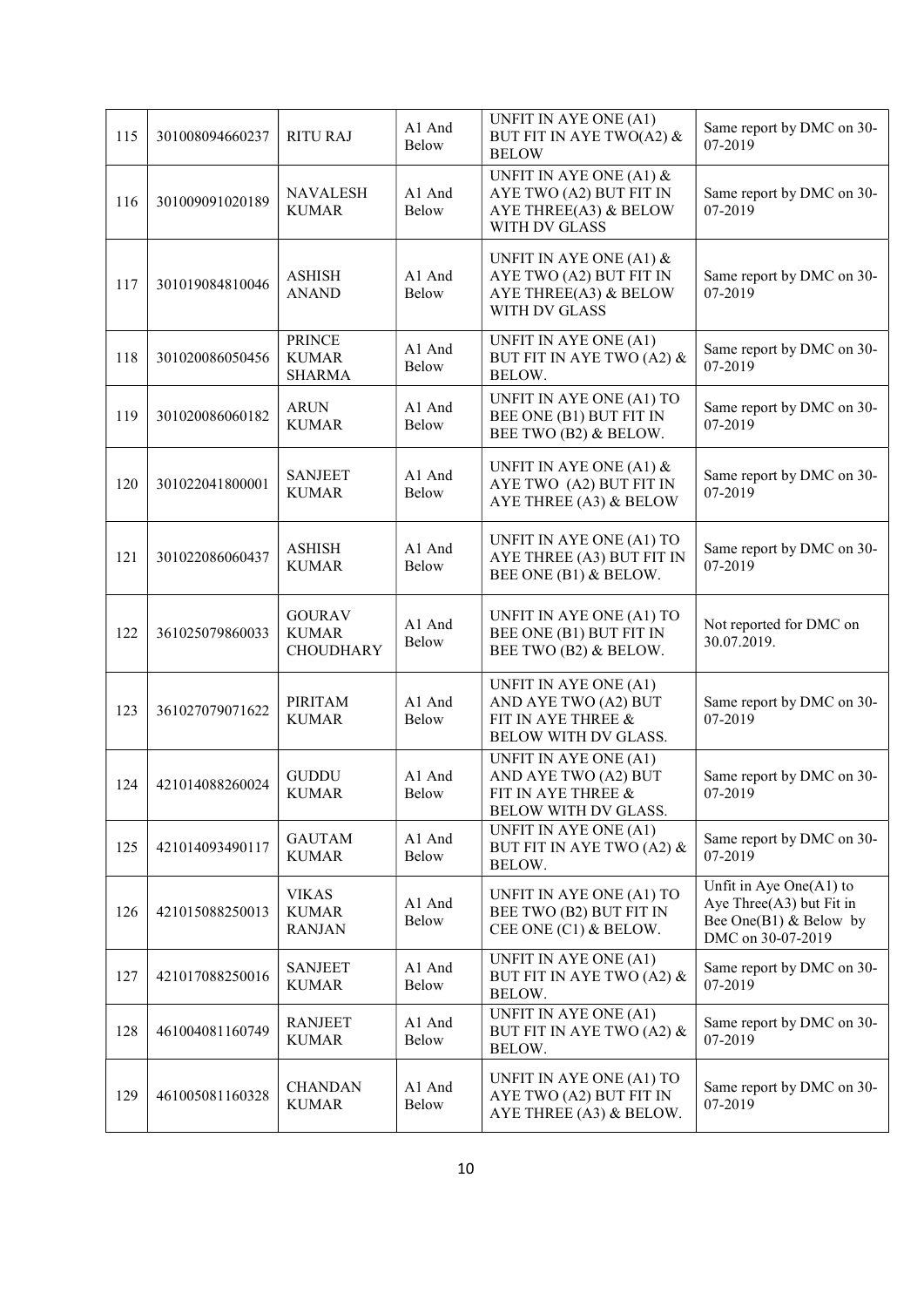| 115 | 301008094660237 | <b>RITU RAJ</b>                                   | A1 And<br>Below        | UNFIT IN AYE ONE (A1)<br>BUT FIT IN AYE TWO(A2) &<br><b>BELOW</b>                               | Same report by DMC on 30-<br>07-2019                                                                       |
|-----|-----------------|---------------------------------------------------|------------------------|-------------------------------------------------------------------------------------------------|------------------------------------------------------------------------------------------------------------|
| 116 | 301009091020189 | <b>NAVALESH</b><br><b>KUMAR</b>                   | A1 And<br>Below        | UNFIT IN AYE ONE (A1) $\&$<br>AYE TWO (A2) BUT FIT IN<br>AYE THREE(A3) & BELOW<br>WITH DV GLASS | Same report by DMC on 30-<br>07-2019                                                                       |
| 117 | 301019084810046 | <b>ASHISH</b><br><b>ANAND</b>                     | A1 And<br>Below        | UNFIT IN AYE ONE (A1) $&$<br>AYE TWO (A2) BUT FIT IN<br>AYE THREE(A3) & BELOW<br>WITH DV GLASS  | Same report by DMC on 30-<br>07-2019                                                                       |
| 118 | 301020086050456 | <b>PRINCE</b><br><b>KUMAR</b><br><b>SHARMA</b>    | A1 And<br>Below        | UNFIT IN AYE ONE (A1)<br>BUT FIT IN AYE TWO (A2) &<br>BELOW.                                    | Same report by DMC on 30-<br>07-2019                                                                       |
| 119 | 301020086060182 | <b>ARUN</b><br><b>KUMAR</b>                       | A1 And<br>Below        | UNFIT IN AYE ONE (A1) TO<br>BEE ONE (B1) BUT FIT IN<br>BEE TWO (B2) & BELOW.                    | Same report by DMC on 30-<br>07-2019                                                                       |
| 120 | 301022041800001 | <b>SANJEET</b><br><b>KUMAR</b>                    | A1 And<br><b>Below</b> | UNFIT IN AYE ONE (A1) $\&$<br>AYE TWO (A2) BUT FIT IN<br>AYE THREE (A3) & BELOW                 | Same report by DMC on 30-<br>07-2019                                                                       |
| 121 | 301022086060437 | <b>ASHISH</b><br><b>KUMAR</b>                     | A1 And<br><b>Below</b> | UNFIT IN AYE ONE (A1) TO<br>AYE THREE (A3) BUT FIT IN<br>BEE ONE (B1) & BELOW.                  | Same report by DMC on 30-<br>07-2019                                                                       |
| 122 | 361025079860033 | <b>GOURAV</b><br><b>KUMAR</b><br><b>CHOUDHARY</b> | A1 And<br>Below        | UNFIT IN AYE ONE (A1) TO<br>BEE ONE (B1) BUT FIT IN<br>BEE TWO (B2) & BELOW.                    | Not reported for DMC on<br>30.07.2019.                                                                     |
| 123 | 361027079071622 | <b>PIRITAM</b><br><b>KUMAR</b>                    | A1 And<br>Below        | UNFIT IN AYE ONE (A1)<br>AND AYE TWO (A2) BUT<br>FIT IN AYE THREE &<br>BELOW WITH DV GLASS.     | Same report by DMC on 30-<br>07-2019                                                                       |
| 124 | 421014088260024 | <b>GUDDU</b><br><b>KUMAR</b>                      | A1 And<br>Below        | UNFIT IN AYE ONE (A1)<br>AND AYE TWO (A2) BUT<br>FIT IN AYE THREE &<br>BELOW WITH DV GLASS.     | Same report by DMC on 30-<br>07-2019                                                                       |
| 125 | 421014093490117 | <b>GAUTAM</b><br><b>KUMAR</b>                     | A1 And<br>Below        | UNFIT IN AYE ONE (A1)<br>BUT FIT IN AYE TWO (A2) &<br>BELOW.                                    | Same report by DMC on 30-<br>07-2019                                                                       |
| 126 | 421015088250013 | <b>VIKAS</b><br><b>KUMAR</b><br><b>RANJAN</b>     | A1 And<br>Below        | UNFIT IN AYE ONE (A1) TO<br>BEE TWO (B2) BUT FIT IN<br>CEE ONE (C1) & BELOW.                    | Unfit in Aye One $(A1)$ to<br>Aye Three $(A3)$ but Fit in<br>Bee One(B1) $&$ Below by<br>DMC on 30-07-2019 |
| 127 | 421017088250016 | <b>SANJEET</b><br><b>KUMAR</b>                    | A1 And<br>Below        | UNFIT IN AYE ONE (A1)<br>BUT FIT IN AYE TWO (A2) &<br>BELOW.                                    | Same report by DMC on 30-<br>07-2019                                                                       |
| 128 | 461004081160749 | <b>RANJEET</b><br><b>KUMAR</b>                    | A1 And<br>Below        | UNFIT IN AYE ONE (A1)<br>BUT FIT IN AYE TWO (A2) &<br>BELOW.                                    | Same report by DMC on 30-<br>07-2019                                                                       |
| 129 | 461005081160328 | <b>CHANDAN</b><br><b>KUMAR</b>                    | A1 And<br>Below        | UNFIT IN AYE ONE (A1) TO<br>AYE TWO (A2) BUT FIT IN<br>AYE THREE (A3) & BELOW.                  | Same report by DMC on 30-<br>07-2019                                                                       |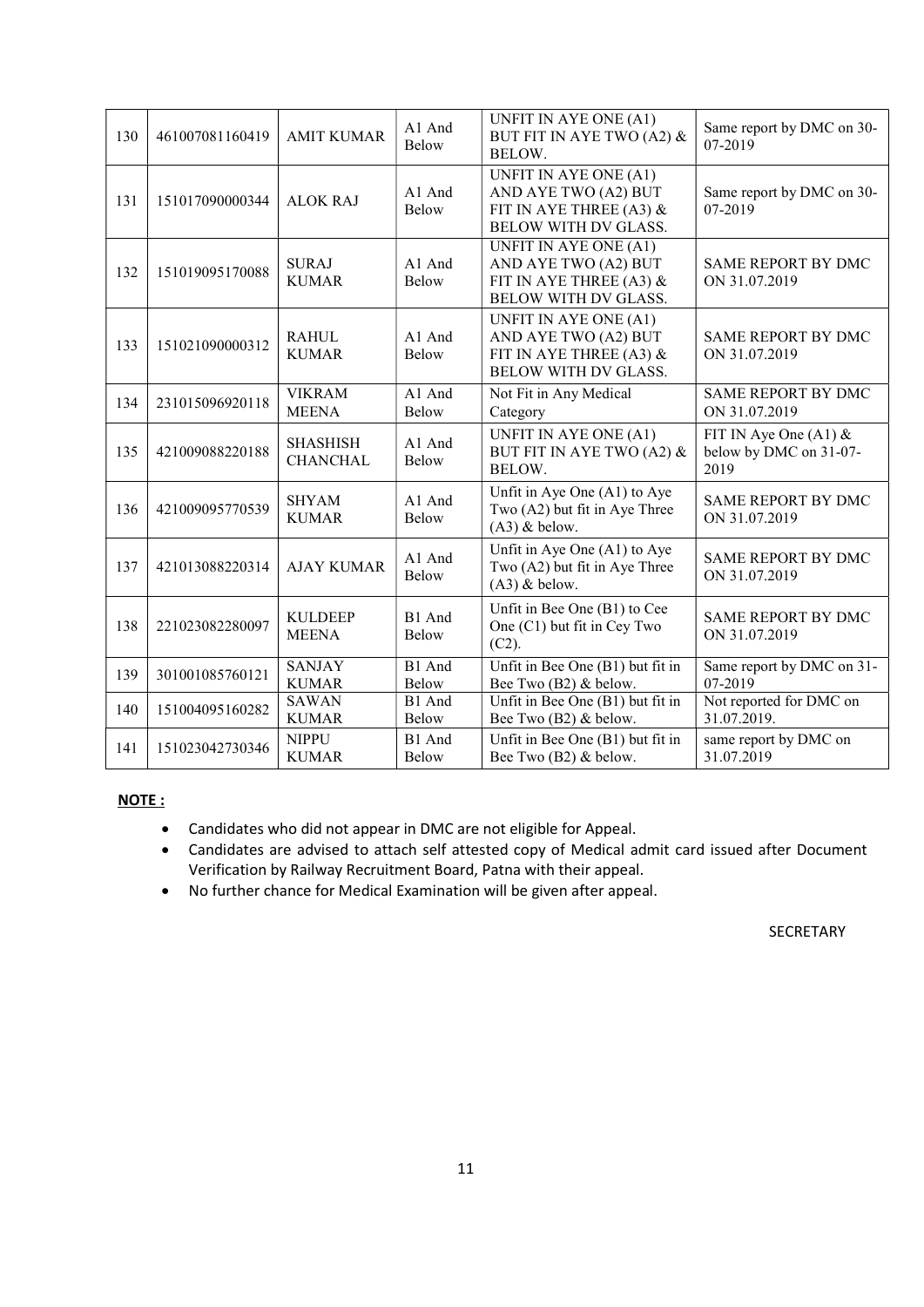| 130 | 461007081160419 | <b>AMIT KUMAR</b>                  | A1 And<br><b>Below</b> | UNFIT IN AYE ONE (A1)<br>BUT FIT IN AYE TWO (A2) &<br>BELOW.                                              | Same report by DMC on 30-<br>07-2019                      |  |
|-----|-----------------|------------------------------------|------------------------|-----------------------------------------------------------------------------------------------------------|-----------------------------------------------------------|--|
| 131 | 151017090000344 | <b>ALOK RAJ</b>                    | A1 And<br>Below        | UNFIT IN AYE ONE (A1)<br>AND AYE TWO (A2) BUT<br>FIT IN AYE THREE (A3) &<br>BELOW WITH DV GLASS.          | Same report by DMC on 30-<br>07-2019                      |  |
| 132 | 151019095170088 | <b>SURAJ</b><br><b>KUMAR</b>       | A1 And<br><b>Below</b> | <b>UNFIT IN AYE ONE (A1)</b><br>AND AYE TWO (A2) BUT<br>FIT IN AYE THREE (A3) $&$<br>BELOW WITH DV GLASS. | <b>SAME REPORT BY DMC</b><br>ON 31.07.2019                |  |
| 133 | 151021090000312 | <b>RAHUL</b><br><b>KUMAR</b>       | A1 And<br>Below        | UNFIT IN AYE ONE (A1)<br>AND AYE TWO (A2) BUT<br>FIT IN AYE THREE (A3) $&$<br><b>BELOW WITH DV GLASS.</b> | <b>SAME REPORT BY DMC</b><br>ON 31.07.2019                |  |
| 134 | 231015096920118 | <b>VIKRAM</b><br><b>MEENA</b>      | A1 And<br>Below        | Not Fit in Any Medical<br>Category                                                                        | <b>SAME REPORT BY DMC</b><br>ON 31.07.2019                |  |
| 135 | 421009088220188 | <b>SHASHISH</b><br><b>CHANCHAL</b> | A1 And<br>Below        | UNFIT IN AYE ONE (A1)<br>BUT FIT IN AYE TWO (A2) &<br>BELOW.                                              | FIT IN Aye One $(A1)$ &<br>below by DMC on 31-07-<br>2019 |  |
| 136 | 421009095770539 | <b>SHYAM</b><br><b>KUMAR</b>       | A1 And<br>Below        | Unfit in Aye One (A1) to Aye<br>Two (A2) but fit in Aye Three<br>$(A3)$ & below.                          | <b>SAME REPORT BY DMC</b><br>ON 31.07.2019                |  |
| 137 | 421013088220314 | <b>AJAY KUMAR</b>                  | A1 And<br><b>Below</b> | Unfit in Aye One (A1) to Aye<br>Two (A2) but fit in Aye Three<br>$(A3)$ & below.                          | <b>SAME REPORT BY DMC</b><br>ON 31.07.2019                |  |
| 138 | 221023082280097 | <b>KULDEEP</b><br><b>MEENA</b>     | B1 And<br><b>Below</b> | Unfit in Bee One (B1) to Cee<br>One (C1) but fit in Cey Two<br>(C2).                                      | <b>SAME REPORT BY DMC</b><br>ON 31.07.2019                |  |
| 139 | 301001085760121 | <b>SANJAY</b><br><b>KUMAR</b>      | B1 And<br><b>Below</b> | Unfit in Bee One (B1) but fit in<br>Bee Two (B2) & below.                                                 | Same report by DMC on 31-<br>07-2019                      |  |
| 140 | 151004095160282 | <b>SAWAN</b><br><b>KUMAR</b>       | B1 And<br>Below        | Unfit in Bee One (B1) but fit in<br>Bee Two (B2) & below.                                                 | Not reported for DMC on<br>31.07.2019.                    |  |
| 141 | 151023042730346 | <b>NIPPU</b><br><b>KUMAR</b>       | B1 And<br>Below        | Unfit in Bee One (B1) but fit in<br>Bee Two (B2) & below.                                                 | same report by DMC on<br>31.07.2019                       |  |

# NOTE :

- Candidates who did not appear in DMC are not eligible for Appeal.
- Candidates are advised to attach self attested copy of Medical admit card issued after Document Verification by Railway Recruitment Board, Patna with their appeal.
- No further chance for Medical Examination will be given after appeal.

## SECRETARY